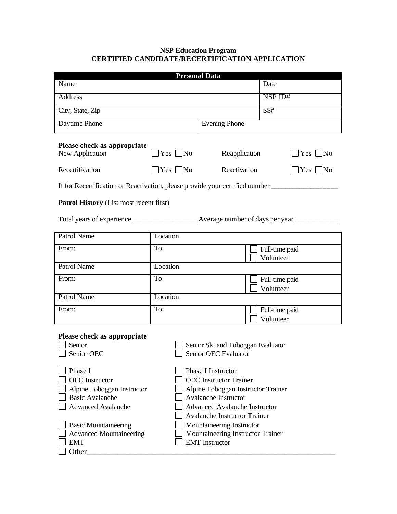## **NSP Education Program CERTIFIED CANDIDATE/RECERTIFICATION APPLICATION**

| <b>Personal Data</b>                                                                                                                                                                                           |                                                                                                                                                                                                                                                                                                    |                      |         |                             |  |  |
|----------------------------------------------------------------------------------------------------------------------------------------------------------------------------------------------------------------|----------------------------------------------------------------------------------------------------------------------------------------------------------------------------------------------------------------------------------------------------------------------------------------------------|----------------------|---------|-----------------------------|--|--|
| Name                                                                                                                                                                                                           |                                                                                                                                                                                                                                                                                                    |                      |         | Date                        |  |  |
| <b>Address</b>                                                                                                                                                                                                 |                                                                                                                                                                                                                                                                                                    |                      | NSP ID# |                             |  |  |
| City, State, Zip                                                                                                                                                                                               |                                                                                                                                                                                                                                                                                                    |                      |         | SS#                         |  |  |
| Daytime Phone                                                                                                                                                                                                  |                                                                                                                                                                                                                                                                                                    | <b>Evening Phone</b> |         |                             |  |  |
| Please check as appropriate<br>New Application                                                                                                                                                                 | $\Box$ Yes $\Box$ No                                                                                                                                                                                                                                                                               | Reapplication        |         | $\Box$ Yes $\Box$ No        |  |  |
| Recertification                                                                                                                                                                                                | $\exists$ Yes $\Box$ No                                                                                                                                                                                                                                                                            | Reactivation         |         | $\Box$ Yes $\Box$ No        |  |  |
| If for Recertification or Reactivation, please provide your certified number<br><b>Patrol History</b> (List most recent first)                                                                                 |                                                                                                                                                                                                                                                                                                    |                      |         |                             |  |  |
|                                                                                                                                                                                                                |                                                                                                                                                                                                                                                                                                    |                      |         |                             |  |  |
| <b>Patrol Name</b>                                                                                                                                                                                             | Location                                                                                                                                                                                                                                                                                           |                      |         |                             |  |  |
| From:                                                                                                                                                                                                          | To:                                                                                                                                                                                                                                                                                                |                      |         | Full-time paid<br>Volunteer |  |  |
| <b>Patrol Name</b>                                                                                                                                                                                             | Location                                                                                                                                                                                                                                                                                           |                      |         |                             |  |  |
| From:                                                                                                                                                                                                          | To:                                                                                                                                                                                                                                                                                                |                      |         | Full-time paid<br>Volunteer |  |  |
| <b>Patrol Name</b>                                                                                                                                                                                             | Location                                                                                                                                                                                                                                                                                           |                      |         |                             |  |  |
| From:                                                                                                                                                                                                          | To:                                                                                                                                                                                                                                                                                                |                      |         | Full-time paid<br>Volunteer |  |  |
| Please check as appropriate<br>Senior<br>Senior OEC                                                                                                                                                            | Senior Ski and Toboggan Evaluator<br>Senior OEC Evaluator                                                                                                                                                                                                                                          |                      |         |                             |  |  |
| Phase I<br><b>OEC</b> Instructor<br>Alpine Toboggan Instructor<br><b>Basic Avalanche</b><br><b>Advanced Avalanche</b><br><b>Basic Mountaineering</b><br><b>Advanced Mountaineering</b><br><b>EMT</b><br>Other_ | Phase I Instructor<br><b>OEC</b> Instructor Trainer<br>Alpine Toboggan Instructor Trainer<br><b>Avalanche Instructor</b><br><b>Advanced Avalanche Instructor</b><br><b>Avalanche Instructor Trainer</b><br>Mountaineering Instructor<br>Mountaineering Instructor Trainer<br><b>EMT</b> Instructor |                      |         |                             |  |  |